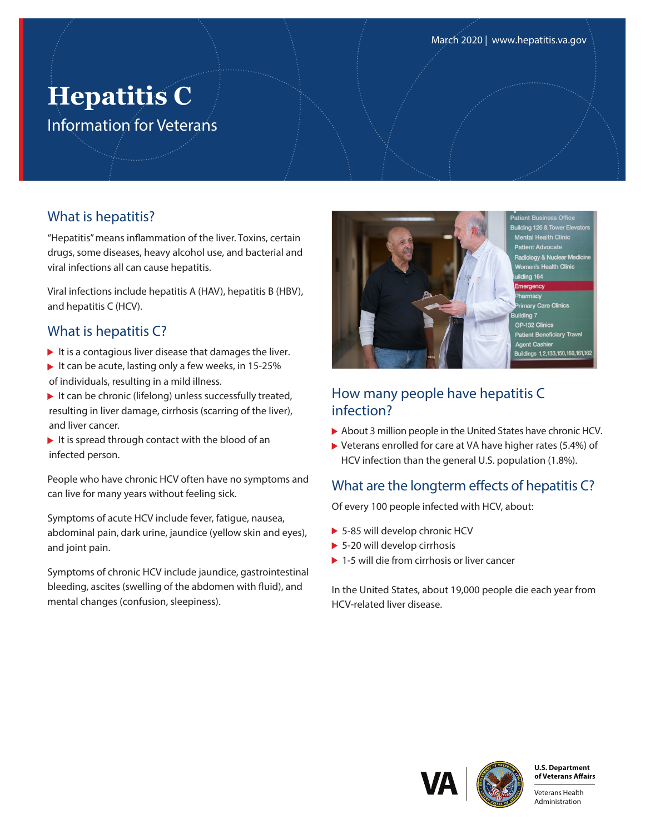# **Hepatitis C** Information for Veterans

#### What is hepatitis?

"Hepatitis" means inflammation of the liver. Toxins, certain drugs, some diseases, heavy alcohol use, and bacterial and viral infections all can cause hepatitis.

Viral infections include hepatitis A (HAV), hepatitis B (HBV), and hepatitis C (HCV).

# What is hepatitis C?

- It is a contagious liver disease that damages the liver.
- It can be acute, lasting only a few weeks, in  $15-25%$ of individuals, resulting in a mild illness.
- It can be chronic (lifelong) unless successfully treated, resulting in liver damage, cirrhosis (scarring of the liver), and liver cancer.
- It is spread through contact with the blood of an infected person.

People who have chronic HCV often have no symptoms and can live for many years without feeling sick.

Symptoms of acute HCV include fever, fatigue, nausea, abdominal pain, dark urine, jaundice (yellow skin and eyes), and joint pain.

Symptoms of chronic HCV include jaundice, gastrointestinal bleeding, ascites (swelling of the abdomen with fluid), and mental changes (confusion, sleepiness).



**Tal Health Clinic** gy & Nuclear Medicine Health Clinic e Clinics OP-132 Clinics nt Be nt <del>Dener</del><br>It Cashie ngs 1,2,133,150,160,161,

#### How many people have hepatitis C infection?

- About 3 million people in the United States have chronic HCV.
- Veterans enrolled for care at VA have higher rates (5.4%) of HCV infection than the general U.S. population (1.8%).

## What are the longterm effects of hepatitis C?

Of every 100 people infected with HCV, about:

- ▶ 5-85 will develop chronic HCV
- ▶ 5-20 will develop cirrhosis
- ▶ 1-5 will die from cirrhosis or liver cancer

In the United States, about 19,000 people die each year from HCV-related liver disease.





Veterans Health Administration